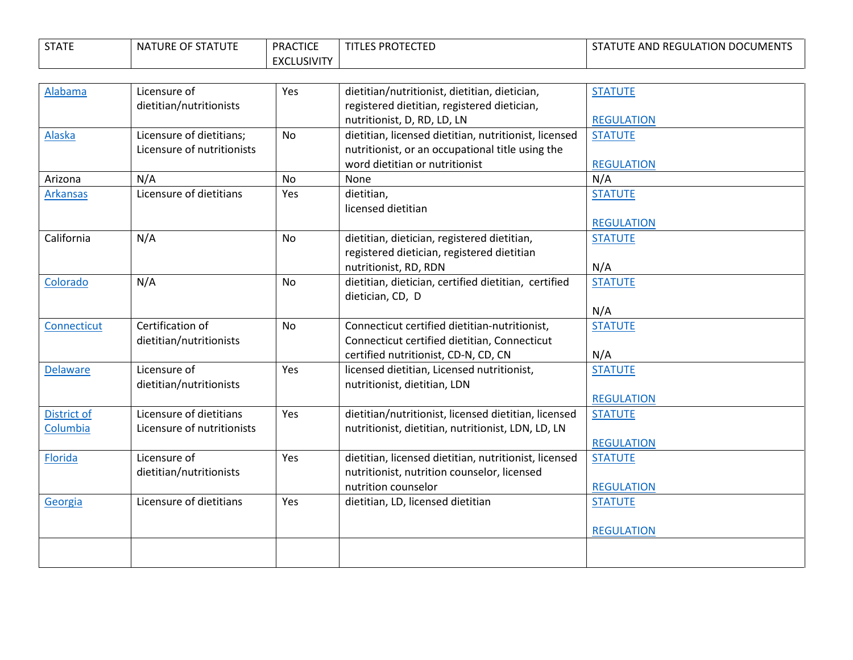| <b>STATE</b> | NATURE OF STATUTE | <b>PRACTICE</b>    | <b>LES PROTECTED</b> | <b>ITUTE AND REGULATION DOCUMENTS</b><br>. מ |
|--------------|-------------------|--------------------|----------------------|----------------------------------------------|
|              |                   | <b>EXCLUSIVITY</b> |                      |                                              |

| Alabama         | Licensure of               | Yes       | dietitian/nutritionist, dietitian, dietician,         | <b>STATUTE</b>    |
|-----------------|----------------------------|-----------|-------------------------------------------------------|-------------------|
|                 | dietitian/nutritionists    |           | registered dietitian, registered dietician,           |                   |
|                 |                            |           | nutritionist, D, RD, LD, LN                           | <b>REGULATION</b> |
| Alaska          | Licensure of dietitians;   | <b>No</b> | dietitian, licensed dietitian, nutritionist, licensed | <b>STATUTE</b>    |
|                 | Licensure of nutritionists |           | nutritionist, or an occupational title using the      |                   |
|                 |                            |           | word dietitian or nutritionist                        | <b>REGULATION</b> |
| Arizona         | N/A                        | <b>No</b> | None                                                  | N/A               |
| <b>Arkansas</b> | Licensure of dietitians    | Yes       | dietitian,                                            | <b>STATUTE</b>    |
|                 |                            |           | licensed dietitian                                    |                   |
|                 |                            |           |                                                       | <b>REGULATION</b> |
| California      | N/A                        | <b>No</b> | dietitian, dietician, registered dietitian,           | <b>STATUTE</b>    |
|                 |                            |           | registered dietician, registered dietitian            |                   |
|                 |                            |           | nutritionist, RD, RDN                                 | N/A               |
| Colorado        | N/A                        | <b>No</b> | dietitian, dietician, certified dietitian, certified  | <b>STATUTE</b>    |
|                 |                            |           | dietician, CD, D                                      |                   |
|                 |                            |           |                                                       | N/A               |
| Connecticut     | Certification of           | <b>No</b> | Connecticut certified dietitian-nutritionist,         | <b>STATUTE</b>    |
|                 | dietitian/nutritionists    |           | Connecticut certified dietitian, Connecticut          |                   |
|                 |                            |           | certified nutritionist, CD-N, CD, CN                  | N/A               |
| <b>Delaware</b> | Licensure of               | Yes       | licensed dietitian, Licensed nutritionist,            | <b>STATUTE</b>    |
|                 | dietitian/nutritionists    |           | nutritionist, dietitian, LDN                          |                   |
|                 |                            |           |                                                       | <b>REGULATION</b> |
| District of     | Licensure of dietitians    | Yes       | dietitian/nutritionist, licensed dietitian, licensed  | <b>STATUTE</b>    |
| Columbia        | Licensure of nutritionists |           | nutritionist, dietitian, nutritionist, LDN, LD, LN    |                   |
|                 |                            |           |                                                       | <b>REGULATION</b> |
| Florida         | Licensure of               | Yes       | dietitian, licensed dietitian, nutritionist, licensed | <b>STATUTE</b>    |
|                 | dietitian/nutritionists    |           | nutritionist, nutrition counselor, licensed           |                   |
|                 |                            |           | nutrition counselor                                   | <b>REGULATION</b> |
|                 |                            |           |                                                       |                   |
| Georgia         | Licensure of dietitians    | Yes       | dietitian, LD, licensed dietitian                     | <b>STATUTE</b>    |
|                 |                            |           |                                                       |                   |
|                 |                            |           |                                                       | <b>REGULATION</b> |
|                 |                            |           |                                                       |                   |
|                 |                            |           |                                                       |                   |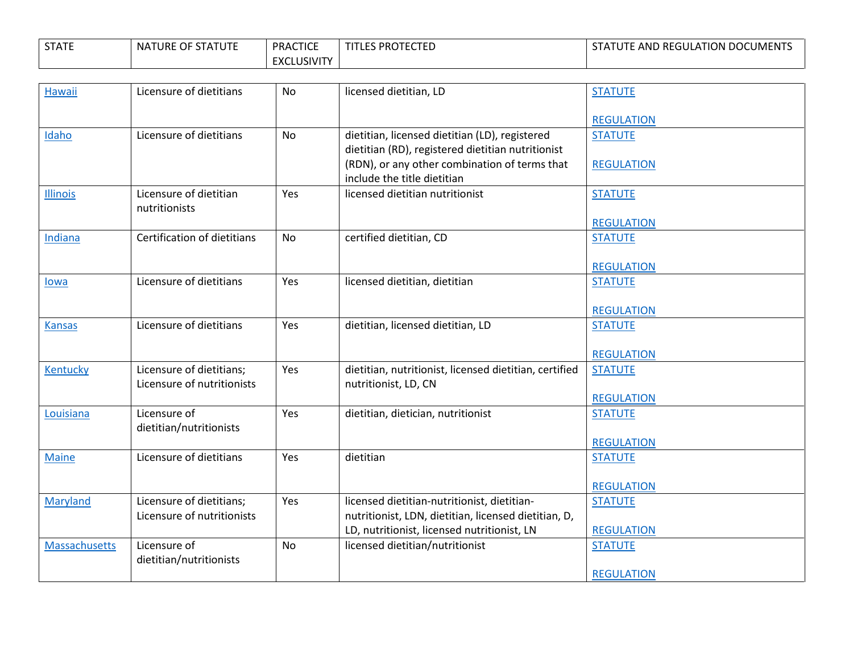| <b>STATE</b> | NATURE OF STATUTE | <b>PRACTICE</b>    | <b>LES PROTECTED</b> | <b>ITUTE AND REGULATION DOCUMENTS</b><br>. מ |
|--------------|-------------------|--------------------|----------------------|----------------------------------------------|
|              |                   | <b>EXCLUSIVITY</b> |                      |                                              |

| <b>Hawaii</b>   | Licensure of dietitians     | <b>No</b> | licensed dietitian, LD                                 | <b>STATUTE</b>    |
|-----------------|-----------------------------|-----------|--------------------------------------------------------|-------------------|
|                 |                             |           |                                                        |                   |
|                 |                             |           |                                                        | <b>REGULATION</b> |
| Idaho           | Licensure of dietitians     | <b>No</b> | dietitian, licensed dietitian (LD), registered         | <b>STATUTE</b>    |
|                 |                             |           | dietitian (RD), registered dietitian nutritionist      |                   |
|                 |                             |           | (RDN), or any other combination of terms that          | <b>REGULATION</b> |
|                 |                             |           | include the title dietitian                            |                   |
| <b>Illinois</b> | Licensure of dietitian      | Yes       | licensed dietitian nutritionist                        | <b>STATUTE</b>    |
|                 | nutritionists               |           |                                                        |                   |
|                 |                             |           |                                                        | <b>REGULATION</b> |
| <b>Indiana</b>  | Certification of dietitians | <b>No</b> | certified dietitian, CD                                | <b>STATUTE</b>    |
|                 |                             |           |                                                        |                   |
|                 |                             |           |                                                        | <b>REGULATION</b> |
| lowa            | Licensure of dietitians     | Yes       | licensed dietitian, dietitian                          | <b>STATUTE</b>    |
|                 |                             |           |                                                        |                   |
|                 |                             |           |                                                        | <b>REGULATION</b> |
| <b>Kansas</b>   | Licensure of dietitians     | Yes       | dietitian, licensed dietitian, LD                      | <b>STATUTE</b>    |
|                 |                             |           |                                                        |                   |
|                 |                             |           |                                                        | <b>REGULATION</b> |
| Kentucky        | Licensure of dietitians;    | Yes       | dietitian, nutritionist, licensed dietitian, certified | <b>STATUTE</b>    |
|                 | Licensure of nutritionists  |           | nutritionist, LD, CN                                   |                   |
|                 |                             |           |                                                        | <b>REGULATION</b> |
| Louisiana       | Licensure of                | Yes       | dietitian, dietician, nutritionist                     | <b>STATUTE</b>    |
|                 | dietitian/nutritionists     |           |                                                        |                   |
|                 |                             |           |                                                        | <b>REGULATION</b> |
| <b>Maine</b>    | Licensure of dietitians     | Yes       | dietitian                                              | <b>STATUTE</b>    |
|                 |                             |           |                                                        |                   |
|                 |                             |           |                                                        | <b>REGULATION</b> |
| <b>Maryland</b> | Licensure of dietitians;    | Yes       | licensed dietitian-nutritionist, dietitian-            | <b>STATUTE</b>    |
|                 | Licensure of nutritionists  |           | nutritionist, LDN, dietitian, licensed dietitian, D,   |                   |
|                 |                             |           | LD, nutritionist, licensed nutritionist, LN            | <b>REGULATION</b> |
| Massachusetts   | Licensure of                | <b>No</b> | licensed dietitian/nutritionist                        | <b>STATUTE</b>    |
|                 | dietitian/nutritionists     |           |                                                        |                   |
|                 |                             |           |                                                        | <b>REGULATION</b> |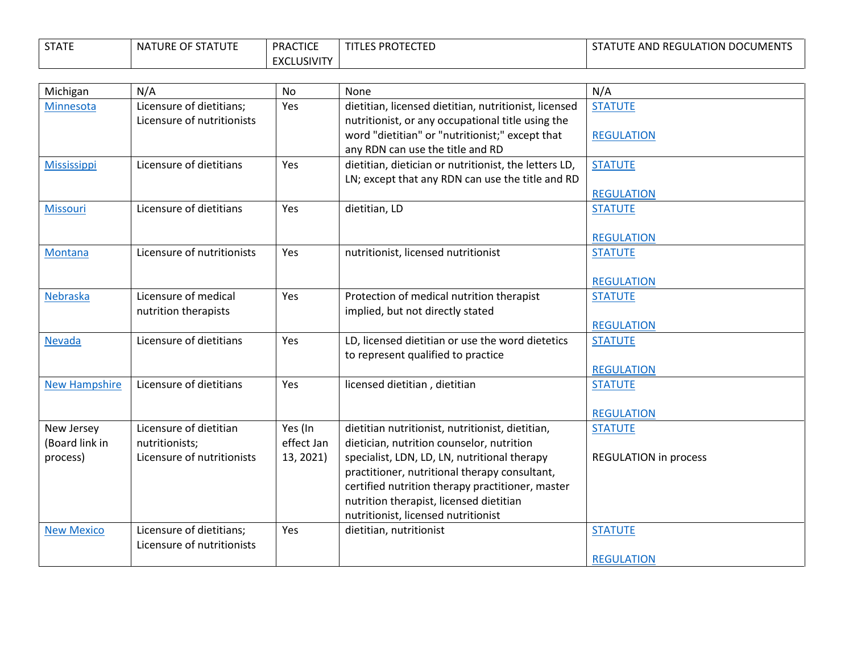| <b>STATE</b> | NATURE OF STATUTE | <b>PRACTICE</b>    | <b>LES PROTECTED</b> | <b>ITUTE AND REGULATION DOCUMENTS</b><br>. מ |
|--------------|-------------------|--------------------|----------------------|----------------------------------------------|
|              |                   | <b>EXCLUSIVITY</b> |                      |                                              |

| Michigan             | N/A                        | <b>No</b>  | None                                                  | N/A                          |
|----------------------|----------------------------|------------|-------------------------------------------------------|------------------------------|
| Minnesota            | Licensure of dietitians;   | Yes        | dietitian, licensed dietitian, nutritionist, licensed | <b>STATUTE</b>               |
|                      | Licensure of nutritionists |            | nutritionist, or any occupational title using the     |                              |
|                      |                            |            | word "dietitian" or "nutritionist;" except that       | <b>REGULATION</b>            |
|                      |                            |            | any RDN can use the title and RD                      |                              |
| <b>Mississippi</b>   | Licensure of dietitians    | Yes        | dietitian, dietician or nutritionist, the letters LD, | <b>STATUTE</b>               |
|                      |                            |            | LN; except that any RDN can use the title and RD      |                              |
|                      |                            |            |                                                       | <b>REGULATION</b>            |
| <b>Missouri</b>      | Licensure of dietitians    | Yes        | dietitian, LD                                         | <b>STATUTE</b>               |
|                      |                            |            |                                                       |                              |
|                      |                            |            |                                                       | <b>REGULATION</b>            |
| Montana              | Licensure of nutritionists | Yes        | nutritionist, licensed nutritionist                   | <b>STATUTE</b>               |
|                      |                            |            |                                                       |                              |
| Nebraska             | Licensure of medical       | Yes        | Protection of medical nutrition therapist             | <b>REGULATION</b>            |
|                      | nutrition therapists       |            | implied, but not directly stated                      | <b>STATUTE</b>               |
|                      |                            |            |                                                       | <b>REGULATION</b>            |
| <b>Nevada</b>        | Licensure of dietitians    | Yes        | LD, licensed dietitian or use the word dietetics      | <b>STATUTE</b>               |
|                      |                            |            | to represent qualified to practice                    |                              |
|                      |                            |            |                                                       | <b>REGULATION</b>            |
| <b>New Hampshire</b> | Licensure of dietitians    | Yes        | licensed dietitian, dietitian                         | <b>STATUTE</b>               |
|                      |                            |            |                                                       |                              |
|                      |                            |            |                                                       | <b>REGULATION</b>            |
| New Jersey           | Licensure of dietitian     | Yes (In    | dietitian nutritionist, nutritionist, dietitian,      | <b>STATUTE</b>               |
| (Board link in       | nutritionists;             | effect Jan | dietician, nutrition counselor, nutrition             |                              |
| process)             | Licensure of nutritionists | 13, 2021)  | specialist, LDN, LD, LN, nutritional therapy          | <b>REGULATION in process</b> |
|                      |                            |            | practitioner, nutritional therapy consultant,         |                              |
|                      |                            |            | certified nutrition therapy practitioner, master      |                              |
|                      |                            |            | nutrition therapist, licensed dietitian               |                              |
|                      |                            |            | nutritionist, licensed nutritionist                   |                              |
| <b>New Mexico</b>    | Licensure of dietitians;   | Yes        | dietitian, nutritionist                               | <b>STATUTE</b>               |
|                      | Licensure of nutritionists |            |                                                       |                              |
|                      |                            |            |                                                       | <b>REGULATION</b>            |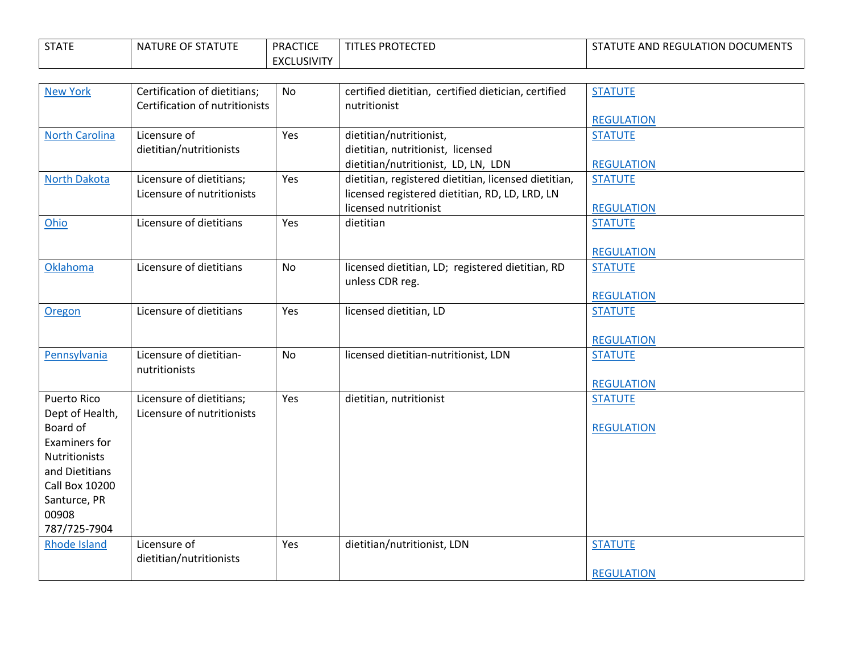| <b>STATE</b> | NATURE OF STATUTE | <b>PRACTICE</b>    | <b>TITLES PROTECTED</b> | STATUTE AND REGULATION DOCUMENTS |
|--------------|-------------------|--------------------|-------------------------|----------------------------------|
|              |                   | <b>EXCLUSIVITY</b> |                         |                                  |

| <b>New York</b>                                                                                                                                                                | Certification of dietitians;<br>Certification of nutritionists | No        | certified dietitian, certified dietician, certified<br>nutritionist                                                             | <b>STATUTE</b>                                           |
|--------------------------------------------------------------------------------------------------------------------------------------------------------------------------------|----------------------------------------------------------------|-----------|---------------------------------------------------------------------------------------------------------------------------------|----------------------------------------------------------|
| <b>North Carolina</b>                                                                                                                                                          | Licensure of<br>dietitian/nutritionists                        | Yes       | dietitian/nutritionist,<br>dietitian, nutritionist, licensed<br>dietitian/nutritionist, LD, LN, LDN                             | <b>REGULATION</b><br><b>STATUTE</b><br><b>REGULATION</b> |
| <b>North Dakota</b>                                                                                                                                                            | Licensure of dietitians;<br>Licensure of nutritionists         | Yes       | dietitian, registered dietitian, licensed dietitian,<br>licensed registered dietitian, RD, LD, LRD, LN<br>licensed nutritionist | <b>STATUTE</b><br><b>REGULATION</b>                      |
| Ohio                                                                                                                                                                           | Licensure of dietitians                                        | Yes       | dietitian                                                                                                                       | <b>STATUTE</b><br><b>REGULATION</b>                      |
| Oklahoma                                                                                                                                                                       | Licensure of dietitians                                        | <b>No</b> | licensed dietitian, LD; registered dietitian, RD<br>unless CDR reg.                                                             | <b>STATUTE</b><br><b>REGULATION</b>                      |
| Oregon                                                                                                                                                                         | Licensure of dietitians                                        | Yes       | licensed dietitian, LD                                                                                                          | <b>STATUTE</b><br><b>REGULATION</b>                      |
| Pennsylvania                                                                                                                                                                   | Licensure of dietitian-<br>nutritionists                       | <b>No</b> | licensed dietitian-nutritionist, LDN                                                                                            | <b>STATUTE</b><br><b>REGULATION</b>                      |
| <b>Puerto Rico</b><br>Dept of Health,<br>Board of<br>Examiners for<br><b>Nutritionists</b><br>and Dietitians<br><b>Call Box 10200</b><br>Santurce, PR<br>00908<br>787/725-7904 | Licensure of dietitians;<br>Licensure of nutritionists         | Yes       | dietitian, nutritionist                                                                                                         | <b>STATUTE</b><br><b>REGULATION</b>                      |
| <b>Rhode Island</b>                                                                                                                                                            | Licensure of<br>dietitian/nutritionists                        | Yes       | dietitian/nutritionist, LDN                                                                                                     | <b>STATUTE</b><br><b>REGULATION</b>                      |